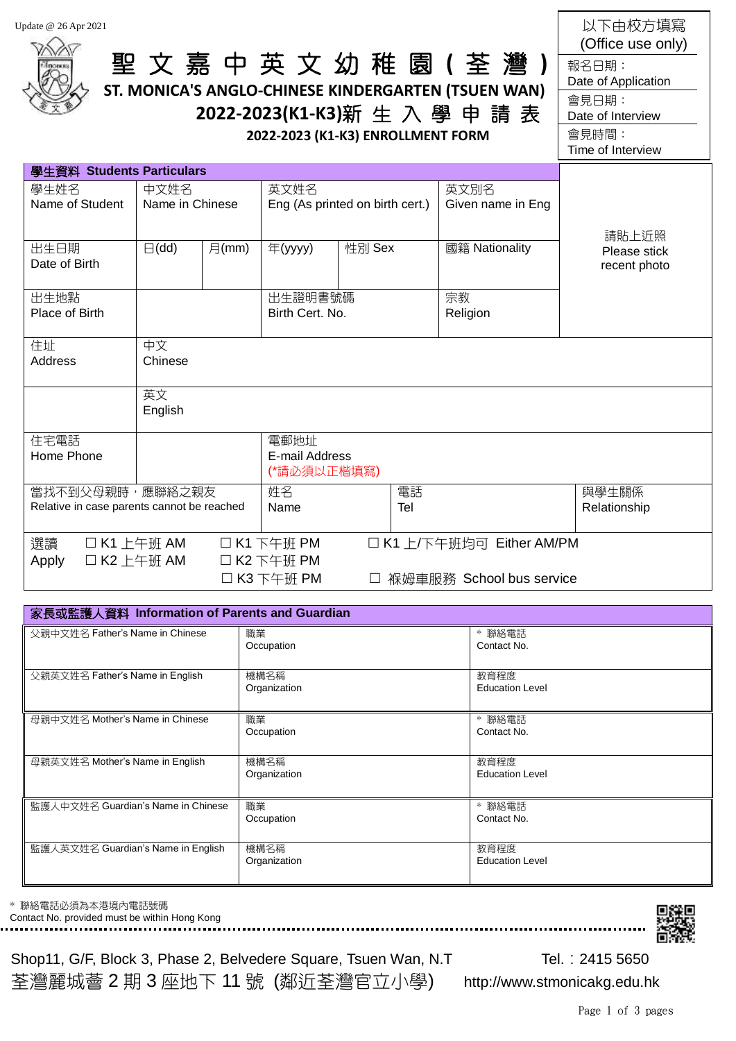| Update @ 26 Apr 2021                                          |                            |                |                                           | 2022-2023 (K1-K3) ENROLLMENT FORM | 聖文嘉中英文幼稚園(荃灣)<br>ST. MONICA'S ANGLO-CHINESE KINDERGARTEN (TSUEN WAN)<br>2022-2023(K1-K3)新生入學申請表 | 以下由校方填寫<br>(Office use only)<br>報名日期:<br>Date of Application<br>會見日期:<br>Date of Interview<br>會見時間:<br>Time of Interview |
|---------------------------------------------------------------|----------------------------|----------------|-------------------------------------------|-----------------------------------|-------------------------------------------------------------------------------------------------|--------------------------------------------------------------------------------------------------------------------------|
| 學生資料 Students Particulars                                     |                            |                |                                           |                                   |                                                                                                 |                                                                                                                          |
| 學生姓名<br>Name of Student                                       | 中文姓名<br>Name in Chinese    |                | 英文姓名<br>Eng (As printed on birth cert.)   |                                   | 英文別名<br>Given name in Eng                                                                       |                                                                                                                          |
| 出生日期<br>Date of Birth                                         | $\boxminus$ (dd)           | $\exists$ (mm) | 年(yyyy)                                   | 性別 Sex                            | 國籍 Nationality                                                                                  | 請貼上近照<br>Please stick<br>recent photo                                                                                    |
| 出生地點<br>Place of Birth                                        |                            |                | 出生證明書號碼<br>Birth Cert. No.                |                                   | 宗教<br>Religion                                                                                  |                                                                                                                          |
| 住址<br><b>Address</b>                                          | 中文<br>Chinese              |                |                                           |                                   |                                                                                                 |                                                                                                                          |
|                                                               | 英文<br>English              |                |                                           |                                   |                                                                                                 |                                                                                                                          |
| 住宅電話<br>Home Phone                                            |                            |                | 電郵地址<br>E-mail Address<br>(*請必須以正楷填寫)     |                                   |                                                                                                 |                                                                                                                          |
| 當找不到父母親時,應聯絡之親友<br>Relative in case parents cannot be reached |                            |                | 姓名<br>電話<br>Tel<br>Name                   |                                   | 與學生關係<br>Relationship                                                                           |                                                                                                                          |
| 選讀<br>Apply                                                   | □ K1 上午班 AM<br>□ K2 上午班 AM |                | □ K1 下午班 PM<br>□ K2 下午班 PM<br>□ K3 下午班 PM |                                   | □ K1 上/下午班均可 Either AM/PM<br>褓姆車服務 School bus service                                           |                                                                                                                          |

## 家長或監護人資料 **Information of Parents and Guardian** 父親中文姓名 Father's Name in Chinese 職業 **Occupation** ﹡聯絡電話 Contact No. 父親英文姓名 Father's Name in English 機構名稱 Organization 教育程度 Education Level 母親中文姓名 Mother's Name in Chinese 職業 **Occupation** ﹡聯絡電話 Contact No. 母親英文姓名 Mother's Name in English 機構名稱 Organization 教育程度 Education Level 監護人中文姓名 Guardian's Name in Chinese 職業 **Occupation** ﹡聯絡電話 Contact No. 監護人英文姓名 Guardian's Name in English 機構名稱 **Organization** 教育程度 Education Level

Contact No. provided must be within Hong Kong 

Shop11, G/F, Block 3, Phase 2, Belvedere Square, Tsuen Wan, N.T Tel. : 2415 5650 荃灣麗城薈 2 期 3 座地下 11 號 (鄰近荃灣官立小學) http://www.stmonicakg.edu.hk

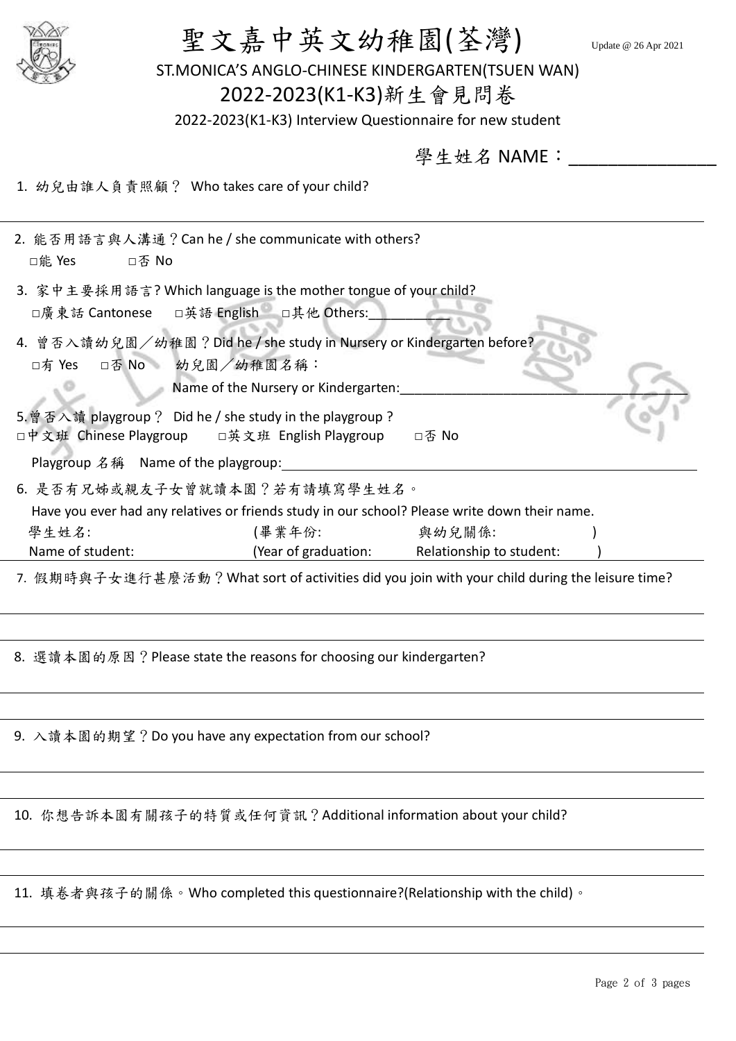| 聖文嘉中英文幼稚園(荃灣)<br>ST.MONICA'S ANGLO-CHINESE KINDERGARTEN(TSUEN WAN)<br>2022-2023(K1-K3)新生會見問卷<br>2022-2023(K1-K3) Interview Questionnaire for new student | Update @ 26 Apr 2021<br>學生姓名 NAME: |
|----------------------------------------------------------------------------------------------------------------------------------------------------------|------------------------------------|
|                                                                                                                                                          |                                    |
| 1. 幼兒由誰人負責照顧? Who takes care of your child?                                                                                                              |                                    |
| 2. 能否用語言與人溝通? Can he / she communicate with others?<br>□能 Yes<br>□否 No                                                                                   |                                    |
| 3. 家中主要採用語言? Which language is the mother tongue of your child?<br>□廣東話 Cantonese □英語 English □其他 Others:                                                |                                    |
| 4. 曾否入讀幼兒園/幼稚園? Did he / she study in Nursery or Kindergarten before?<br>□有 Yes □否 No 幼兒園/幼稚園名稱:<br>Name of the Nursery or Kindergarten:                 |                                    |
| 5. 曾否入讀 playgroup? Did he / she study in the playgroup?<br>□中文班 Chinese Playgroup □英文班 English Playgroup                                                 | □否 No                              |
| Playgroup 名稱 Name of the playgroup:                                                                                                                      |                                    |
| 6. 是否有兄姊或親友子女曾就讀本園?若有請填寫學生姓名。                                                                                                                            |                                    |
| Have you ever had any relatives or friends study in our school? Please write down their name.                                                            |                                    |
| 學生姓名:<br>(畢業年份:<br>Name of student:<br>(Year of graduation:                                                                                              | 與幼兒關係:<br>Relationship to student: |
| 7. 假期時與子女進行甚麼活動?What sort of activities did you join with your child during the leisure time?                                                            |                                    |
|                                                                                                                                                          |                                    |
|                                                                                                                                                          |                                    |
| 8. 選讀本園的原因?Please state the reasons for choosing our kindergarten?                                                                                       |                                    |
| 9. 入讀本園的期望? Do you have any expectation from our school?                                                                                                 |                                    |
|                                                                                                                                                          |                                    |
| 10. 你想告訴本園有關孩子的特質或任何資訊? Additional information about your child?                                                                                         |                                    |
| 11. 填卷者與孩子的關係。Who completed this questionnaire?(Relationship with the child)。                                                                            |                                    |
|                                                                                                                                                          |                                    |

<u> 1989 - Johann Stoff, amerikansk politiker (\* 1989)</u>